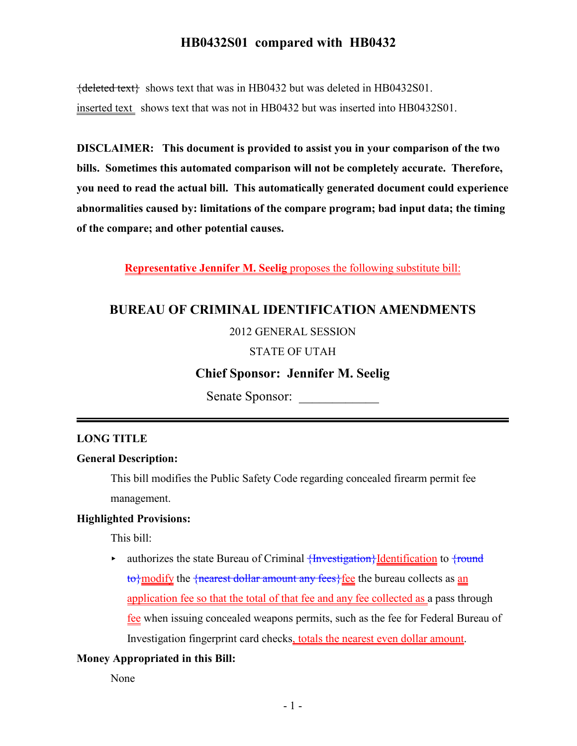# **HB0432S01 compared with HB0432**

 ${deleted text}$  shows text that was in HB0432 but was deleted in HB0432S01. inserted text shows text that was not in HB0432 but was inserted into HB0432S01.

**DISCLAIMER: This document is provided to assist you in your comparison of the two bills. Sometimes this automated comparison will not be completely accurate. Therefore, you need to read the actual bill. This automatically generated document could experience abnormalities caused by: limitations of the compare program; bad input data; the timing of the compare; and other potential causes.**

**Representative Jennifer M. Seelig** proposes the following substitute bill:

## **BUREAU OF CRIMINAL IDENTIFICATION AMENDMENTS**

### 2012 GENERAL SESSION

### STATE OF UTAH

# **Chief Sponsor: Jennifer M. Seelig**

Senate Sponsor:

#### **LONG TITLE**

### **General Description:**

This bill modifies the Public Safety Code regarding concealed firearm permit fee management.

## **Highlighted Provisions:**

This bill:

 $\triangleright$  authorizes the state Bureau of Criminal  $\{Investigation\}$ <u>Identification</u> to  $\{round$  $\{\text{to}\}$  modify the  $\{\text{nearest dollar amount any fees}\}$  fee the bureau collects as an application fee so that the total of that fee and any fee collected as a pass through fee when issuing concealed weapons permits, such as the fee for Federal Bureau of Investigation fingerprint card checks, totals the nearest even dollar amount.

### **Money Appropriated in this Bill:**

None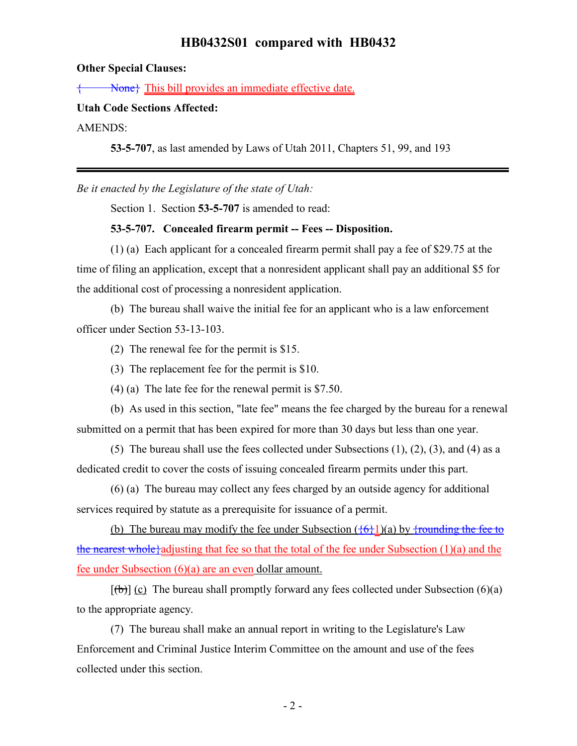# **HB0432S01 compared with HB0432**

## **Other Special Clauses:**

**Rone** This bill provides an immediate effective date.

#### **Utah Code Sections Affected:**

AMENDS:

**53-5-707**, as last amended by Laws of Utah 2011, Chapters 51, 99, and 193

*Be it enacted by the Legislature of the state of Utah:*

Section 1. Section **53-5-707** is amended to read:

### **53-5-707. Concealed firearm permit -- Fees -- Disposition.**

(1) (a) Each applicant for a concealed firearm permit shall pay a fee of \$29.75 at the time of filing an application, except that a nonresident applicant shall pay an additional \$5 for the additional cost of processing a nonresident application.

(b) The bureau shall waive the initial fee for an applicant who is a law enforcement officer under Section 53-13-103.

(2) The renewal fee for the permit is \$15.

(3) The replacement fee for the permit is \$10.

(4) (a) The late fee for the renewal permit is \$7.50.

(b) As used in this section, "late fee" means the fee charged by the bureau for a renewal submitted on a permit that has been expired for more than 30 days but less than one year.

(5) The bureau shall use the fees collected under Subsections (1), (2), (3), and (4) as a dedicated credit to cover the costs of issuing concealed firearm permits under this part.

(6) (a) The bureau may collect any fees charged by an outside agency for additional services required by statute as a prerequisite for issuance of a permit.

(b) The bureau may modify the fee under Subsection  $(\frac{6}{6}1)(a)$  by  $\frac{1}{2}$  frounding the fee to the nearest whole<sup>{{a}</sup> adjusting that fee so that the total of the fee under Subsection  $(1)(a)$  and the fee under Subsection (6)(a) are an even dollar amount.

 $[\phi]$  (c) The bureau shall promptly forward any fees collected under Subsection (6)(a) to the appropriate agency.

(7) The bureau shall make an annual report in writing to the Legislature's Law Enforcement and Criminal Justice Interim Committee on the amount and use of the fees collected under this section.